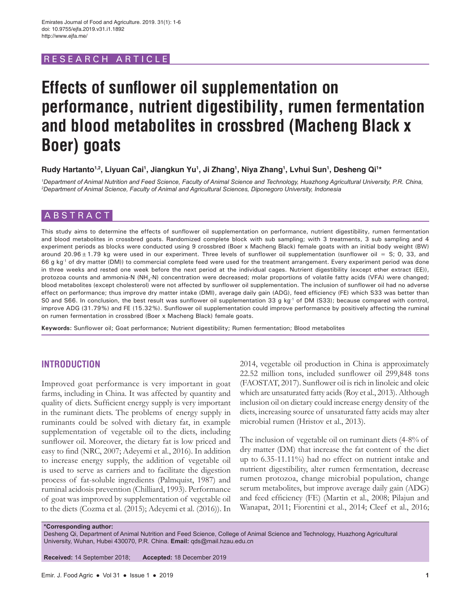# RESEARCH ARTICLE

# **Effects of sunflower oil supplementation on performance, nutrient digestibility, rumen fermentation and blood metabolites in crossbred (Macheng Black x Boer) goats**

**Rudy Hartanto1,2, Liyuan Cai1 , Jiangkun Yu1 , Ji Zhang1 , Niya Zhang1 , Lvhui Sun1 , Desheng Qi1 \***

*1 Department of Animal Nutrition and Feed Science, Faculty of Animal Science and Technology, Huazhong Agricultural University, P.R. China, 2 Department of Animal Science, Faculty of Animal and Agricultural Sciences, Diponegoro University, Indonesia*

# ABSTRACT

This study aims to determine the effects of sunflower oil supplementation on performance, nutrient digestibility, rumen fermentation and blood metabolites in crossbred goats. Randomized complete block with sub sampling; with 3 treatments, 3 sub sampling and 4 experiment periods as blocks were conducted using 9 crossbred (Boer x Macheng Black) female goats with an initial body weight (BW) around  $20.96 \pm 1.79$  kg were used in our experiment. Three levels of sunflower oil supplementation (sunflower oil = S; 0, 33, and 66 g kg-1 of dry matter (DM)) to commercial complete feed were used for the treatment arrangement. Every experiment period was done in three weeks and rested one week before the next period at the individual cages. Nutrient digestibility (except ether extract (EE)), protozoa counts and ammonia-N (NH<sub>3</sub>-N) concentration were decreased; molar proportions of volatile fatty acids (VFA) were changed; blood metabolites (except cholesterol) were not affected by sunflower oil supplementation. The inclusion of sunflower oil had no adverse effect on performance; thus improve dry matter intake (DMI), average daily gain (ADG), feed efficiency (FE) which S33 was better than S0 and S66. In conclusion, the best result was sunflower oil supplementation 33 g kg<sup>-1</sup> of DM (S33); because compared with control, improve ADG (31.79%) and FE (15.32%). Sunflower oil supplementation could improve performance by positively affecting the ruminal on rumen fermentation in crossbred (Boer x Macheng Black) female goats.

**Keywords:** Sunflower oil; Goat performance; Nutrient digestibility; Rumen fermentation; Blood metabolites

# **INTRODUCTION**

Improved goat performance is very important in goat farms, including in China. It was affected by quantity and quality of diets. Sufficient energy supply is very important in the ruminant diets. The problems of energy supply in ruminants could be solved with dietary fat, in example supplementation of vegetable oil to the diets, including sunflower oil. Moreover, the dietary fat is low priced and easy to find (NRC, 2007; Adeyemi et al., 2016). In addition to increase energy supply, the addition of vegetable oil is used to serve as carriers and to facilitate the digestion process of fat-soluble ingredients (Palmquist, 1987) and ruminal acidosis prevention (Chilliard, 1993). Performance of goat was improved by supplementation of vegetable oil to the diets (Cozma et al. (2015); Adeyemi et al. (2016)). In 2014, vegetable oil production in China is approximately 22.52 million tons, included sunflower oil 299,848 tons (FAOSTAT, 2017). Sunflower oil is rich in linoleic and oleic which are unsaturated fatty acids (Roy et al., 2013). Although inclusion oil on dietary could increase energy density of the diets, increasing source of unsaturated fatty acids may alter microbial rumen (Hristov et al., 2013).

The inclusion of vegetable oil on ruminant diets (4-8% of dry matter (DM) that increase the fat content of the diet up to 6.35-11.11%) had no effect on nutrient intake and nutrient digestibility, alter rumen fermentation, decrease rumen protozoa, change microbial population, change serum metabolites, but improve average daily gain (ADG) and feed efficiency (FE) (Martin et al., 2008; Pilajun and Wanapat, 2011; Fiorentini et al., 2014; Cleef et al., 2016;

**\*Corresponding author:** Desheng Qi, Department of Animal Nutrition and Feed Science, College of Animal Science and Technology, Huazhong Agricultural University, Wuhan, Hubei 430070, P.R. China. **Email:** qds@mail.hzau.edu.cn

**Received:** 14 September 2018; **Accepted:** 18 December 2019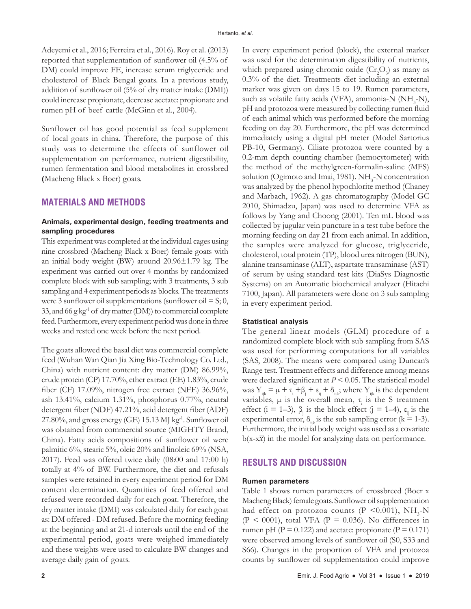Adeyemi et al., 2016; Ferreira et al., 2016). Roy et al. (2013) reported that supplementation of sunflower oil (4.5% of DM) could improve FE, increase serum triglyceride and cholesterol of Black Bengal goats. In a previous study, addition of sunflower oil (5% of dry matter intake (DMI)) could increase propionate, decrease acetate: propionate and rumen pH of beef cattle (McGinn et al., 2004).

Sunflower oil has good potential as feed supplement of local goats in china. Therefore, the purpose of this study was to determine the effects of sunflower oil supplementation on performance, nutrient digestibility, rumen fermentation and blood metabolites in crossbred **(**Macheng Black x Boer) goats.

## **MATERIALS AND METHODS**

## **Animals, experimental design, feeding treatments and sampling procedures**

This experiment was completed at the individual cages using nine crossbred (Macheng Black x Boer) female goats with an initial body weight (BW) around 20.96±1.79 kg. The experiment was carried out over 4 months by randomized complete block with sub sampling; with 3 treatments, 3 sub sampling and 4 experiment periods as blocks. The treatments were 3 sunflower oil supplementations (sunflower oil  $= S$ ; 0, 33, and 66 g  $kg<sup>-1</sup>$  of dry matter (DM)) to commercial complete feed. Furthermore, every experiment period was done in three weeks and rested one week before the next period.

The goats allowed the basal diet was commercial complete feed (Wuhan Wan Qian Jia Xing Bio-Technology Co. Ltd., China) with nutrient content: dry matter (DM) 86.99%, crude protein (CP) 17.70%, ether extract (EE) 1.83%, crude fiber (CF) 17.09%, nitrogen free extract (NFE) 36.96%, ash 13.41%, calcium 1.31%, phosphorus 0.77%, neutral detergent fiber (NDF) 47.21%, acid detergent fiber (ADF) 27.80%, and gross energy (GE) 15.13 MJ kg-1. Sunflower oil was obtained from commercial source (MIGHTY Brand, China). Fatty acids compositions of sunflower oil were palmitic 6%, stearic 5%, oleic 20% and linoleic 69% (NSA, 2017). Feed was offered twice daily (08:00 and 17:00 h) totally at 4% of BW. Furthermore, the diet and refusals samples were retained in every experiment period for DM content determination. Quantities of feed offered and refused were recorded daily for each goat. Therefore, the dry matter intake (DMI) was calculated daily for each goat as: DM offered - DM refused. Before the morning feeding at the beginning and at 21-d intervals until the end of the experimental period, goats were weighed immediately and these weights were used to calculate BW changes and average daily gain of goats.

In every experiment period (block), the external marker was used for the determination digestibility of nutrients, which prepared using chromic oxide  $(\text{Cr}_2\text{O}_3)$  as many as 0.3% of the diet. Treatments diet including an external marker was given on days 15 to 19. Rumen parameters, such as volatile fatty acids (VFA), ammonia-N (NH<sub>3</sub>-N), pH and protozoa were measured by collecting rumen fluid of each animal which was performed before the morning feeding on day 20. Furthermore, the pH was determined immediately using a digital pH meter (Model Sartorius PB-10, Germany). Ciliate protozoa were counted by a 0.2-mm depth counting chamber (hemocytometer) with the method of the methylgreen-formalin-saline (MFS) solution (Ogimoto and Imai, 1981). NH<sub>3</sub>-N concentration was analyzed by the phenol hypochlorite method (Chaney and Marbach, 1962). A gas chromatography (Model GC 2010, Shimadzu, Japan) was used to determine VFA as follows by Yang and Choong (2001). Ten mL blood was collected by jugular vein puncture in a test tube before the morning feeding on day 21 from each animal. In addition, the samples were analyzed for glucose, triglyceride, cholesterol, total protein (TP), blood urea nitrogen (BUN), alanine transaminase (ALT), aspartate transaminase (AST) of serum by using standard test kits (DiaSys Diagnostic Systems) on an Automatic biochemical analyzer (Hitachi 7100, Japan). All parameters were done on 3 sub sampling in every experiment period.

#### **Statistical analysis**

The general linear models (GLM) procedure of a randomized complete block with sub sampling from SAS was used for performing computations for all variables (SAS, 2008). The means were compared using Duncan's Range test. Treatment effects and difference among means were declared significant at *P* < 0.05. The statistical model was  $Y_{ijk} = \mu + \tau_i + \beta_j + \varepsilon_{ij} + \delta_{ijk}$ ; where  $Y_{ijk}$  is the dependent variables,  $\mu$  is the overall mean,  $\tau$  is the S treatment effect (i = 1–3),  $\beta$  is the block effect (j = 1–4),  $\varepsilon_{ij}$  is the experimental error,  $\delta_{ik}$  is the sub sampling error (k = 1-3). Furthermore, the initial body weight was used as a covariate  $b(x-x\overline{x})$  in the model for analyzing data on performance.

# **RESULTS AND DISCUSSION**

#### **Rumen parameters**

Table 1 shows rumen parameters of crossbreed (Boer x Macheng Black) female goats. Sunflower oil supplementation had effect on protozoa counts (P <0.001),  $\text{NH}_3\text{-}\text{N}$  $(P < 0001)$ , total VFA  $(P = 0.036)$ . No differences in rumen pH ( $P = 0.122$ ) and acetate: propionate ( $P = 0.171$ ) were observed among levels of sunflower oil (S0, S33 and S66). Changes in the proportion of VFA and protozoa counts by sunflower oil supplementation could improve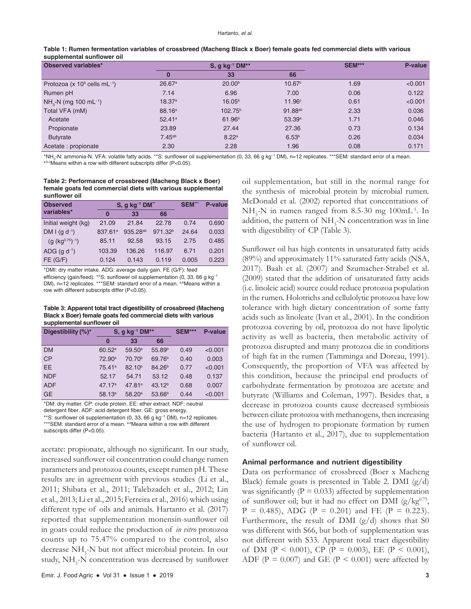| <b>Observed variables*</b>                           |                    | $S, g kg^{-1} DM**$ | <b>SEM***</b>       | P-value |         |
|------------------------------------------------------|--------------------|---------------------|---------------------|---------|---------|
|                                                      | $\bf{0}$           | 33                  | 66                  |         |         |
| Protozoa (x 10 <sup>5</sup> cells mL <sup>-1</sup> ) | 26.67a             | 20.00 <sup>b</sup>  | 10.67 <sup>c</sup>  | 1.69    | < 0.001 |
| Rumen pH                                             | 7.14               | 6.96                | 7.00                | 0.06    | 0.122   |
| $NH2-N$ (mg 100 mL <sup>-1</sup> )                   | 18.37a             | 16.05 <sup>b</sup>  | 11.96c              | 0.61    | < 0.001 |
| Total VFA (mM)                                       | 88.16 <sup>a</sup> | 102.75 <sup>b</sup> | 91.88 <sup>ab</sup> | 2.33    | 0.036   |
| Acetate                                              | 52.41a             | 61.96 <sup>b</sup>  | 53.39 <sup>a</sup>  | 1.71    | 0.046   |
| Propionate                                           | 23.89              | 27.44               | 27.36               | 0.73    | 0.134   |
| <b>Butyrate</b>                                      | $7.45^{ab}$        | 8.22a               | 6.53 <sup>b</sup>   | 0.26    | 0.034   |
| Acetate: propionate                                  | 2.30               | 2.28                | 1.96                | 0.08    | 0.171   |

**Table 1: Rumen fermentation variables of crossbreed (Macheng Black x Boer) female goats fed commercial diets with various supplemental sunflower oil**

\*NH<sub>3</sub>-N: ammonia-N. VFA: volatile fatty acids. \*\*S: sunflower oil supplementation (0, 33, 66 g kg<sup>-1</sup> DM), n=12 replicates. \*\*\*SEM: standard error of a mean.<br><sup>a,b,c</sup>Means within a row with different subscripts differ (P<0

**Table 2: Performance of crossbreed (Macheng Black x Boer) female goats fed commercial diets with various supplemental sunflower oil**

| <b>Observed</b>     |                     | $S, g kg^{-1} DM^*$  | <b>SEM**</b>        | P-value |       |
|---------------------|---------------------|----------------------|---------------------|---------|-------|
| variables*          | 0                   | 33                   | 66                  |         |       |
| Initial weight (kg) | 21.09               | 21.84                | 22.78               | 0.74    | 0.690 |
| DM I (g $d^{-1}$ )  | 837.61 <sup>a</sup> | 935.28 <sup>ab</sup> | 971.32 <sup>b</sup> | 24.64   | 0.033 |
| $(g (kg0.75)-1)$    | 85.11               | 92.58                | 93.15               | 2.75    | 0.485 |
| ADG $(g d^{-1})$    | 103.39              | 136.26               | 116.97              | 6.71    | 0.201 |
| FE(G/F)             | 0.124               | 0.143                | 0.119               | 0.005   | 0.223 |

\*DMI: dry matter intake. ADG: average daily gain. FE (G/F): feed efficiency (gain/feed). \*\*S: sunflower oil supplementation (0, 33, 66 g kg<sup>-1</sup> DM), n=12 replicates. \*\*\*SEM: standard error of a mean. a,bMeans within a row with different subscripts differ (P<0.05).

**Table 3: Apparent total tract digestibility of crossbreed (Macheng Black x Boer) female goats fed commercial diets with various supplemental sunflower oil**

| Digestibility (%)* |                    | S, g kg <sup>-1</sup> DM** | <b>SEM***</b>      | <b>P-value</b> |         |
|--------------------|--------------------|----------------------------|--------------------|----------------|---------|
|                    | 0                  | 33                         | 66                 |                |         |
| <b>DM</b>          | 60.52a             | $59.50^{\circ}$            | 55.89 <sup>b</sup> | 0.49           | < 0.001 |
| <b>CP</b>          | 72.90 <sup>a</sup> | 70.70 <sup>b</sup>         | 69.76 <sup>b</sup> | 0.40           | 0.003   |
| <b>EE</b>          | 75.41 <sup>a</sup> | $82.10^{b}$                | 84.26 <sup>b</sup> | 0.77           | < 0.001 |
| <b>NDF</b>         | 52.17              | 54.71                      | 53.12              | 0.48           | 0.137   |
| <b>ADF</b>         | 47.17 <sup>a</sup> | 47.81a                     | 43.12 <sup>b</sup> | 0.68           | 0.007   |
| <b>GE</b>          | 58.13a             | 58.20a                     | 53.66 <sup>b</sup> | 0.44           | < 0.001 |

\*DM: dry matter. CP: crude protein. EE: ether extract. NDF: neutral detergent fiber. ADF: acid detergent fiber. GE: gross energy.

\*\*S: sunflower oil supplementation (0, 33, 66 g  $kg^{-1}$  DM), n=12 replicates. \*\*\* SEM: standard error of a mean. a,bMeans within a row with different subscripts differ (P<0.05).

acetate: propionate, although no significant. In our study, increased sunflower oil concentration could change rumen parameters and protozoa counts, except rumen pH. These results are in agreement with previous studies (Li et al., 2011; Shibata et al., 2011; Talebzadeh et al., 2012; Lin et al., 2013; Li et al., 2015; Ferreira et al., 2016) which using different type of oils and animals. Hartanto et al. (2017) reported that supplementation monensin-sunflower oil in goats could reduce the production of *in vitro* protozoa counts up to 75.47% compared to the control, also decrease NH<sub>3</sub>-N but not affect microbial protein. In our study,  $NH_{3}$ -N concentration was decreased by sunflower oil supplementation, but still in the normal range for the synthesis of microbial protein by microbial rumen. McDonald et al. (2002) reported that concentrations of NH<sub>3</sub>-N in rumen ranged from 8.5-30 mg 100mL<sup>-1</sup>. In addition, the pattern of  $NH<sub>3</sub>$ -N concentration was in line with digestibility of CP (Table 3).

Sunflower oil has high contents in unsaturated fatty acids (89%) and approximately 11% saturated fatty acids (NSA, 2017). Baah et al. (2007) and Szumacher-Strabel et al. (2009) stated that the addition of unsaturated fatty acids (i.e. linoleic acid) source could reduce protozoa population in the rumen. Holotrichs and cellulolytic protozoa have low tolerance with high dietary concentration of some fatty acids such as linoleate (Ivan et al., 2001). In the condition protozoa covering by oil, protozoa do not have lipolytic activity as well as bacteria, then metabolic activity of protozoa disrupted and many protozoa die in conditions of high fat in the rumen (Tamminga and Doreau, 1991). Consequently, the proportion of VFA was affected by this condition, because the principal end products of carbohydrate fermentation by protozoa are acetate and butyrate (Williams and Coleman, 1997). Besides that, a decrease in protozoa counts cause decreased symbiosis between ciliate protozoa with methanogens, then increasing the use of hydrogen to propionate formation by rumen bacteria (Hartanto et al., 2017), due to supplementation of sunflower oil.

#### **Animal performance and nutrient digestibility**

Data on performance of crossbreed (Boer x Macheng Black) female goats is presented in Table 2. DMI (g/d) was significantly ( $P = 0.033$ ) affected by supplementation of sunflower oil; but it had no effect on DMI ( $g/kg^{0.75}$ ,  $P = 0.485$ , ADG ( $P = 0.201$ ) and FE ( $P = 0.223$ ). Furthermore, the result of DMI  $(g/d)$  shows that S0 was different with S66, but both of supplementation was not different with S33. Apparent total tract digestibility of DM (P < 0.001), CP (P = 0.003), EE (P < 0.001), ADF ( $P = 0.007$ ) and GE ( $P \le 0.001$ ) were affected by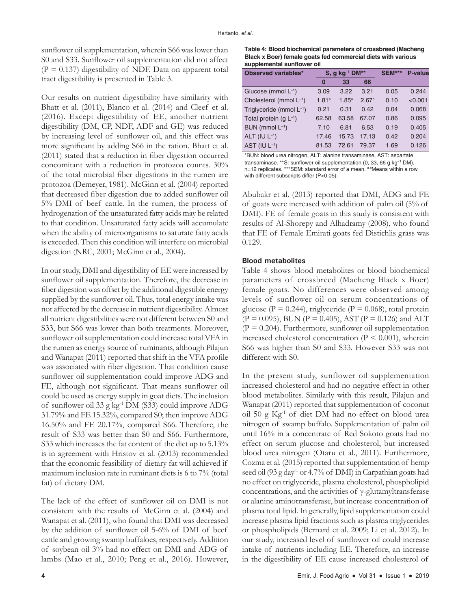sunflower oil supplementation, wherein S66 was lower than S0 and S33. Sunflower oil supplementation did not affect  $(P = 0.137)$  digestibility of NDF. Data on apparent total tract digestibility is presented in Table 3.

Our results on nutrient digestibility have similarity with Bhatt et al. (2011), Blanco et al. (2014) and Cleef et al. (2016). Except digestibility of EE, another nutrient digestibility (DM, CP, NDF, ADF and GE) was reduced by increasing level of sunflower oil, and this effect was more significant by adding S66 in the ration. Bhatt et al. (2011) stated that a reduction in fiber digestion occurred concomitant with a reduction in protozoa counts. 30% of the total microbial fiber digestions in the rumen are protozoa (Demeyer, 1981). McGinn et al. (2004) reported that decreased fiber digestion due to added sunflower oil 5% DMI of beef cattle. In the rumen, the process of hydrogenation of the unsaturated fatty acids may be related to that condition. Unsaturated fatty acids will accumulate when the ability of microorganisms to saturate fatty acids is exceeded. Then this condition will interfere on microbial digestion (NRC, 2001; McGinn et al., 2004).

In our study, DMI and digestibility of EE were increased by sunflower oil supplementation. Therefore, the decrease in fiber digestion was offset by the additional digestible energy supplied by the sunflower oil. Thus, total energy intake was not affected by the decrease in nutrient digestibility. Almost all nutrient digestibilities were not different between S0 and S33, but S66 was lower than both treatments. Moreover, sunflower oil supplementation could increase total VFA in the rumen as energy source of ruminants, although Pilajun and Wanapat (2011) reported that shift in the VFA profile was associated with fiber digestion. That condition cause sunflower oil supplementation could improve ADG and FE, although not significant. That means sunflower oil could be used as energy supply in goat diets. The inclusion of sunflower oil 33 g kg-1 DM (S33) could improve ADG 31.79% and FE 15.32%, compared S0; then improve ADG 16.50% and FE 20.17%, compared S66. Therefore, the result of S33 was better than S0 and S66. Furthermore, S33 which increases the fat content of the diet up to 5.13% is in agreement with Hristov et al. (2013) recommended that the economic feasibility of dietary fat will achieved if maximum inclusion rate in ruminant diets is 6 to 7% (total fat) of dietary DM.

The lack of the effect of sunflower oil on DMI is not consistent with the results of McGinn et al. (2004) and Wanapat et al. (2011), who found that DMI was decreased by the addition of sunflower oil 5-6% of DMI of beef cattle and growing swamp buffaloes, respectively. Addition of soybean oil 3% had no effect on DMI and ADG of lambs (Mao et al., 2010; Peng et al., 2016). However,

| Observed variables*           | $S, g kg^{-1} DM**$ |                   |                   | <b>SEM***</b> | P-value |
|-------------------------------|---------------------|-------------------|-------------------|---------------|---------|
|                               | 0                   | 33                | 66                |               |         |
| Glucose (mmol $L^{-1}$ )      | 3.09                | 3.22              | 3.21              | 0.05          | 0.244   |
| Cholesterol (mmol $L^{-1}$ )  | 1.81a               | 1.85 <sup>a</sup> | 2.67 <sup>b</sup> | 0.10          | < 0.001 |
| Triglyceride (mmol $L^{-1}$ ) | 0.21                | 0.31              | 0.42              | 0.04          | 0.068   |
| Total protein (g $L^{-1}$ )   | 62.58               | 63.58             | 67.07             | 0.86          | 0.095   |
| $BUN$ (mmol $L^{-1}$ )        | 7.10                | 6.81              | 6.53              | 0.19          | 0.405   |
| ALT (IU $L^{-1}$ )            | 17.46               | 15.73             | 17.13             | 0.42          | 0.204   |
| AST (IU $L^{-1}$ )            | 81.53               | 72.61             | 79.37             | 1.69          | 0.126   |

\*BUN: blood urea nitrogen, ALT: alanine transaminase, AST: aspartate transaminase. \*\*S: sunflower oil supplementation (0, 33, 66 g kg<sup>-1</sup> DM), n=12 replicates. \*\*\* SEM: standard error of a mean. a,bMeans within a row with different subscripts differ (P<0.05).

Abubakr et al. (2013) reported that DMI, ADG and FE of goats were increased with addition of palm oil (5% of DMI). FE of female goats in this study is consistent with results of Al-Shorepy and Alhadramy (2008), who found that FE of Female Emirati goats fed Distichlis grass was 0.129.

#### **Blood metabolites**

Table 4 shows blood metabolites or blood biochemical parameters of crossbreed (Macheng Black x Boer) female goats. No differences were observed among levels of sunflower oil on serum concentrations of glucose ( $P = 0.244$ ), triglyceride ( $P = 0.068$ ), total protein  $(P = 0.095)$ , BUN  $(P = 0.405)$ , AST  $(P = 0.126)$  and ALT  $(P = 0.204)$ . Furthermore, sunflower oil supplementation increased cholesterol concentration  $(P < 0.001)$ , wherein S66 was higher than S0 and S33. However S33 was not different with S0.

In the present study, sunflower oil supplementation increased cholesterol and had no negative effect in other blood metabolites. Similarly with this result, Pilajun and Wanapat (2011) reported that supplementation of coconut oil 50 g Kg-1 of diet DM had no effect on blood urea nitrogen of swamp buffalo. Supplementation of palm oil until 16% in a concentrate of Red Sokoto goats had no effect on serum glucose and cholesterol, but increased blood urea nitrogen (Otaru et al., 2011). Furthermore, Cozma et al. (2015) reported that supplementation of hemp seed oil (93 g day<sup>-1</sup> or 4.7% of DMI) in Carpathian goats had no effect on triglyceride, plasma cholesterol, phospholipid concentrations, and the activities of γ-glutamyltransferase or alanine aminotransferase, but increase concentration of plasma total lipid. In generally, lipid supplementation could increase plasma lipid fractions such as plasma triglycerides or phospholipids (Bernard et al. 2009; Li et al. 2012). In our study, increased level of sunflower oil could increase intake of nutrients including EE. Therefore, an increase in the digestibility of EE cause increased cholesterol of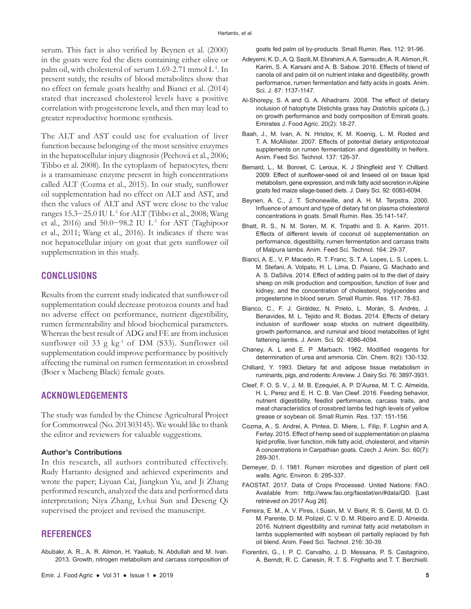serum. This fact is also verified by Beynen et al. (2000) in the goats were fed the diets containing either olive or palm oil, with cholesterol of serum 1.69-2.71 mmol L-1. In present sutdy, the results of blood metabolites show that no effect on female goats healthy and Bianci et al. (2014) stated that increased cholesterol levels have a positive correlation with progesterone levels, and then may lead to greater reproductive hormone synthesis.

The ALT and AST could use for evaluation of liver function because belonging of the most sensitive enzymes in the hepatocellular injury diagnosis (Pechová et al., 2006; Tibbo et al. 2008). In the cytoplasm of hepatocytes, there is a transaminase enzyme present in high concentrations called ALT (Cozma et al., 2015). In our study, sunflower oil supplementation had no effect on ALT and AST, and then the values of ALT and AST were close to the value ranges 15.3−25.0 IU L-1 for ALT (Tibbo et al., 2008; Wang et al., 2016) and 50.0−98.2 IU L-1 for AST (Taghipoor et al., 2011; Wang et al., 2016). It indicates if there was not hepatocellular injury on goat that gets sunflower oil supplementation in this study.

# **CONCLUSIONS**

Results from the current study indicated that sunflower oil supplementation could decrease protozoa counts and had no adverse effect on performance, nutrient digestibility, rumen fermentability and blood biochemical parameters. Whereas the best result of ADG and FE are from inclusion sunflower oil 33 g  $kg^{-1}$  of DM (S33). Sunflower oil supplementation could improve performance by positively affecting the ruminal on rumen fermentation in crossbred (Boer x Macheng Black) female goats.

## **ACKNOWLEDGEMENTS**

The study was funded by the Chinese Agricultural Project for Commonweal (No. 201303145). We would like to thank the editor and reviewers for valuable suggestions.

#### **Author′s Contributions**

In this research, all authors contributed effectively. Rudy Hartanto designed and achieved experiments and wrote the paper; Liyuan Cai, Jiangkun Yu, and Ji Zhang performed research, analyzed the data and performed data interpretation; Niya Zhang, Lvhui Sun and Deseng Qi supervised the project and revised the manuscript.

## **REFERENCES**

Abubakr, A. R., A. R. Alimon, H. Yaakub, N. Abdullah and M. Ivan. 2013. Growth, nitrogen metabolism and carcass composition of goats fed palm oil by-products. Small Rumin. Res. 112: 91-96.

- Adeyemi, K. D., A. Q. Sazili, M. Ebrahimi, A. A. Samsudin, A. R. Alimon, R. Karim, S. A. Karsani and A. B. Sabow. 2016. Effects of blend of canola oil and palm oil on nutrient intake and digestibility, growth performance, rumen fermentation and fatty acids in goats. Anim. Sci. J. 87: 1137-1147.
- Al-Shorepy, S. A and G. A. Alhadrami. 2008. The effect of dietary inclusion of halophyte Distichlis grass hay *Distichlis spicata* (L.) on growth performance and body composition of Emirati goats. Emirates J. Food Agric. 20(2): 18-27.
- Baah, J., M. Ivan, A. N. Hristov, K. M. Koenig, L. M. Roded and T. A. McAllister. 2007. Effects of potential dietary antiprotozoal supplements on rumen fermentation and digestibility in heifers. Anim. Feed Sci. Technol. 137: 126-37.
- Bernard, L., M. Bonnet, C. Leroux, K. J Shingfield and Y. Chilliard. 2009. Effect of sunflower-seed oil and linseed oil on tissue lipid metabolism, gene expression, and milk fatty acid secretion in Alpine goats fed maize silage-based diets. J. Dairy Sci. 92: 6083-6094.
- Beynen, A. C., J. T. Schonewille, and A. H. M. Terpstra. 2000. Influence of amount and type of dietary fat on plasma cholesterol concentrations in goats. Small Rumin. Res. 35:141-147.
- Bhatt, R. S., N. M. Soren, M. K. Tripathi and S. A. Karim. 2011. Effects of different levels of coconut oil supplementation on performance, digestibility, rumen fermentation and carcass traits of Malpura lambs. Anim. Feed Sci. Technol. 164: 29-37.
- Bianci, A. E., V. P. Macedo, R. T. Franc, S. T. A. Lopes, L. S. Lopes, L. M. Stefani, A. Volpato, H. L. Lima, D. Paiano, G. Machado and A. S. DaSilva. 2014. Effect of adding palm oil to the diet of dairy sheep on milk production and composition, function of liver and kidney, and the concentration of cholesterol, triglycerides and progesterone in blood serum. Small Rumin. Res. 117: 78-83.
- Blanco, C., F. J. Giráldez, N. Prieto, L. Morán, S. Andrés, J. Benavides, M. L. Tejido and R. Bodas. 2014. Effects of dietary inclusion of sunflower soap stocks on nutrient digestibility, growth performance, and ruminal and blood metabolites of light fattening lambs. J. Anim. Sci. 92: 4086-4094.
- Chaney, A. L and E. P .Marbach. 1962. Modified reagents for determination of urea and ammonia. Clin. Chem. 8(2): 130-132.
- Chilliard, Y. 1993. Dietary fat and adipose tissue metabolism in ruminants, pigs, and rodents: A review. J. Dairy Sci. 76: 3897-3931.
- Cleef, F. O. S. V., J. M. B. Ezequiel, A. P. D'Aurea, M. T. C. Almeida, H. L. Perez and E. H. C. B. Van Cleef. 2016. Feeding behavior, nutrient digestibility, feedlot performance, carcass traits, and meat characteristics of crossbred lambs fed high levels of yellow grease or soybean oil. Small Rumin. Res. 137: 151-156.
- Cozma, A., S. Andrei, A. Pintea, D. Miere, L. Filip, F. Loghin and A. Ferlay. 2015. Effect of hemp seed oil supplementation on plasma lipid profile, liver function, milk fatty acid, cholesterol, and vitamin A concentrations in Carpathian goats. Czech J. Anim. Sci. 60(7): 289-301.
- Demeyer, D. I. 1981. Rumen microbes and digestion of plant cell walls. Agric. Environ. 6: 295-337.
- FAOSTAT. 2017. Data of Crops Processed. United Nations: FAO. Available from: http://www.fao.org/faostat/en/#data/QD. [Last retrieved on 2017 Aug 26].
- Ferreira, E. M., A. V. Pires, I.Susin, M. V. Biehl, R. S. Gentil, M. D. O. M. Parente, D. M. Polizel, C. V. D. M. Ribeiro and E. D. Almeida. 2016. Nutrient digestibility and ruminal fatty acid metabolism in lambs supplemented with soybean oil partially replaced by fish oil blend. Anim. Feed Sci. Technol. 216: 30-39.
- Fiorentini, G., I. P. C. Carvalho, J. D. Messana, P. S. Castagnino, A. Berndt, R. C. Canesin, R. T. S. Frighetto and T. T. Berchielli.